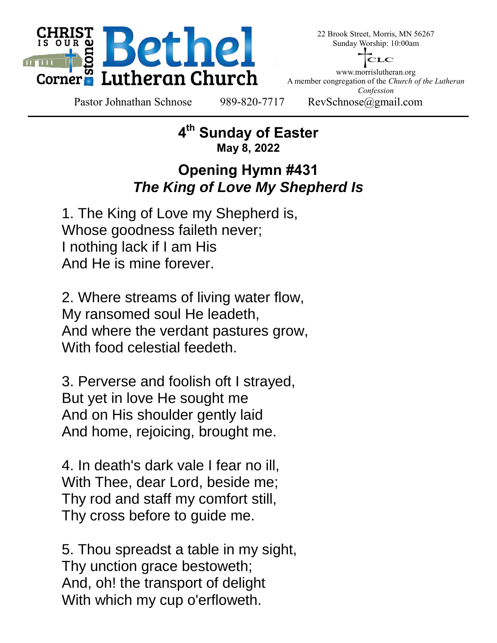

22 Brook Street, Morris, MN 56267 Sunday Worship: 10:00am



www.morrislutheran.org A member congregation of the *Church of the Lutheran Confession*

Pastor Johnathan Schnose 989-820-7717 RevSchnose@gmail.com

**4 th Sunday of Easter May 8, 2022**

# **Opening Hymn #431** *The King of Love My Shepherd Is*

 1. The King of Love my Shepherd is, Whose goodness faileth never; I nothing lack if I am His And He is mine forever.

 2. Where streams of living water flow, My ransomed soul He leadeth, And where the verdant pastures grow, With food celestial feedeth.

 3. Perverse and foolish oft I strayed, But yet in love He sought me And on His shoulder gently laid And home, rejoicing, brought me.

 4. In death's dark vale I fear no ill, With Thee, dear Lord, beside me; Thy rod and staff my comfort still, Thy cross before to guide me.

 5. Thou spreadst a table in my sight, Thy unction grace bestoweth; And, oh! the transport of delight With which my cup o'erfloweth.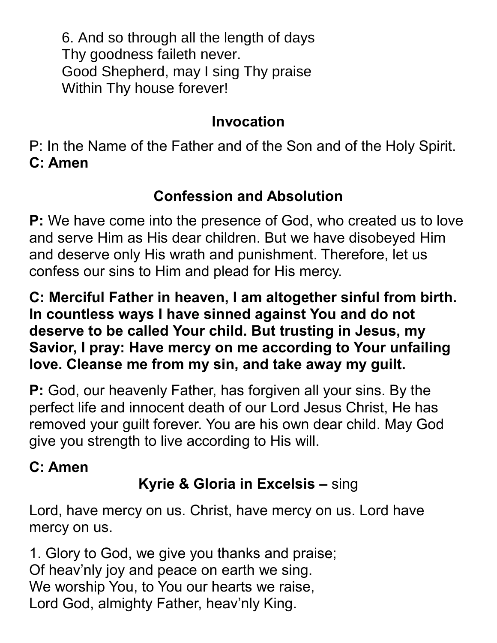6. And so through all the length of days Thy goodness faileth never. Good Shepherd, may I sing Thy praise Within Thy house forever!

# **Invocation**

P: In the Name of the Father and of the Son and of the Holy Spirit. **C: Amen**

# **Confession and Absolution**

**P:** We have come into the presence of God, who created us to love and serve Him as His dear children. But we have disobeyed Him and deserve only His wrath and punishment. Therefore, let us confess our sins to Him and plead for His mercy.

**C: Merciful Father in heaven, I am altogether sinful from birth. In countless ways I have sinned against You and do not deserve to be called Your child. But trusting in Jesus, my Savior, I pray: Have mercy on me according to Your unfailing love. Cleanse me from my sin, and take away my guilt.**

**P:** God, our heavenly Father, has forgiven all your sins. By the perfect life and innocent death of our Lord Jesus Christ, He has removed your guilt forever. You are his own dear child. May God give you strength to live according to His will.

# **C: Amen**

# **Kyrie & Gloria in Excelsis –** sing

Lord, have mercy on us. Christ, have mercy on us. Lord have mercy on us.

1. Glory to God, we give you thanks and praise; Of heav'nly joy and peace on earth we sing. We worship You, to You our hearts we raise, Lord God, almighty Father, heav'nly King.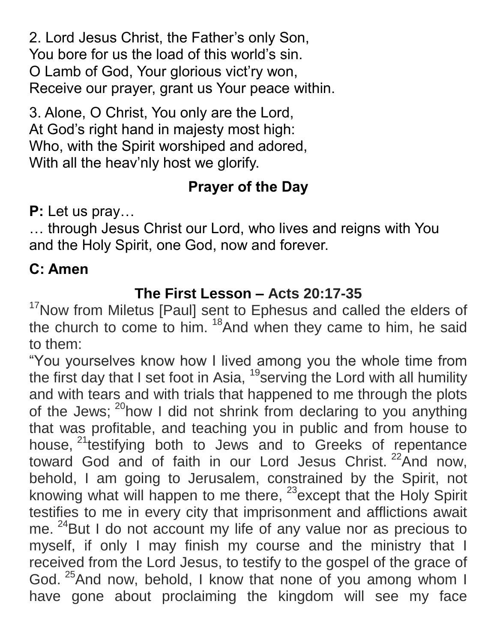2. Lord Jesus Christ, the Father's only Son, You bore for us the load of this world's sin. O Lamb of God, Your glorious vict'ry won, Receive our prayer, grant us Your peace within.

3. Alone, O Christ, You only are the Lord, At God's right hand in majesty most high: Who, with the Spirit worshiped and adored, With all the heav'nly host we glorify.

# **Prayer of the Day**

**P:** Let us pray…

… through Jesus Christ our Lord, who lives and reigns with You and the Holy Spirit, one God, now and forever.

# **C: Amen**

# **The First Lesson – Acts 20:17-35**

<sup>17</sup>Now from Miletus [Paul] sent to Ephesus and called the elders of the church to come to him. <sup>18</sup>And when they came to him, he said to them:

"You yourselves know how I lived among you the whole time from the first day that I set foot in Asia,  $19$  serving the Lord with all humility and with tears and with trials that happened to me through the plots of the Jews; <sup>20</sup>how I did not shrink from declaring to you anything that was profitable, and teaching you in public and from house to house, <sup>21</sup>testifying both to Jews and to Greeks of repentance toward God and of faith in our Lord Jesus Christ.<sup>22</sup>And now, behold, I am going to Jerusalem, constrained by the Spirit, not knowing what will happen to me there, <sup>23</sup>except that the Holy Spirit testifies to me in every city that imprisonment and afflictions await me. <sup>24</sup>But I do not account my life of any value nor as precious to myself, if only I may finish my course and the ministry that I received from the Lord Jesus, to testify to the gospel of the grace of God. <sup>25</sup>And now, behold, I know that none of you among whom I have gone about proclaiming the kingdom will see my face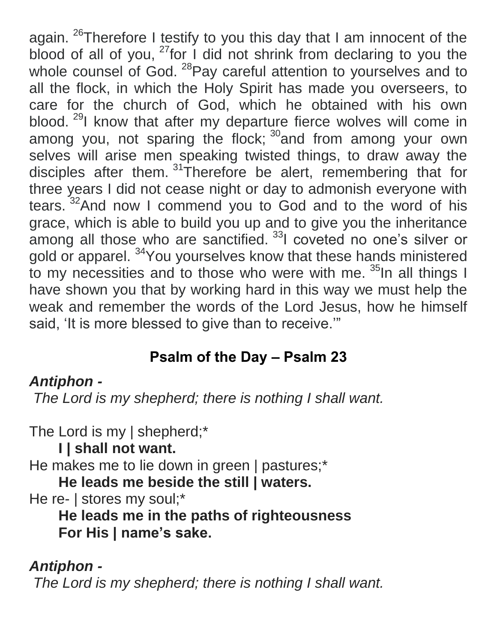again. <sup>26</sup>Therefore I testify to you this day that I am innocent of the blood of all of you,  $27$  for I did not shrink from declaring to you the whole counsel of God. <sup>28</sup>Pay careful attention to yourselves and to all the flock, in which the Holy Spirit has made you overseers, to care for the church of God, which he obtained with his own blood. <sup>29</sup>I know that after my departure fierce wolves will come in among you, not sparing the flock; <sup>30</sup>and from among your own selves will arise men speaking twisted things, to draw away the disciples after them. <sup>31</sup>Therefore be alert, remembering that for three years I did not cease night or day to admonish everyone with tears. <sup>32</sup>And now I commend you to God and to the word of his grace, which is able to build you up and to give you the inheritance among all those who are sanctified. <sup>33</sup>I coveted no one's silver or gold or apparel. <sup>34</sup> You yourselves know that these hands ministered to my necessities and to those who were with me. <sup>35</sup>In all things I have shown you that by working hard in this way we must help the weak and remember the words of the Lord Jesus, how he himself said, 'It is more blessed to give than to receive.'"

# **Psalm of the Day – Psalm 23**

# *Antiphon -*

*The Lord is my shepherd; there is nothing I shall want.*

The Lord is my | shepherd;\*

**I | shall not want.**

He makes me to lie down in green | pastures;\*

**He leads me beside the still | waters.**

He re- | stores my soul;\*

**He leads me in the paths of righteousness For His | name's sake.**

*Antiphon - The Lord is my shepherd; there is nothing I shall want.*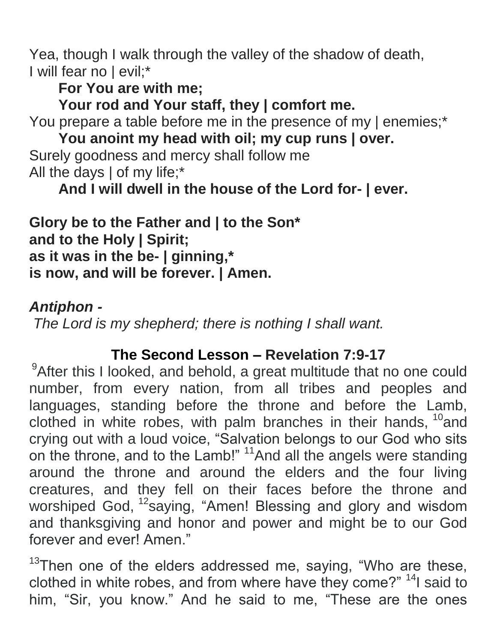Yea, though I walk through the valley of the shadow of death, I will fear no | evil;\*

**For You are with me;**

**Your rod and Your staff, they | comfort me.**

You prepare a table before me in the presence of my | enemies;\*

**You anoint my head with oil; my cup runs | over.** Surely goodness and mercy shall follow me All the days | of my life;\*

**And I will dwell in the house of the Lord for- | ever.**

**Glory be to the Father and | to the Son\* and to the Holy | Spirit; as it was in the be- | ginning,\* is now, and will be forever. | Amen.**

## *Antiphon -*

*The Lord is my shepherd; there is nothing I shall want.*

# **The Second Lesson – Revelation 7:9-17**

<sup>9</sup>After this I looked, and behold, a great multitude that no one could number, from every nation, from all tribes and peoples and languages, standing before the throne and before the Lamb, clothed in white robes, with palm branches in their hands,  $^{10}$  and crying out with a loud voice, "Salvation belongs to our God who sits on the throne, and to the Lamb!" <sup>11</sup>And all the angels were standing around the throne and around the elders and the four living creatures, and they fell on their faces before the throne and worshiped God, <sup>12</sup>saying, "Amen! Blessing and glory and wisdom and thanksgiving and honor and power and might be to our God forever and ever! Amen."

 $13$ Then one of the elders addressed me, saying, "Who are these, clothed in white robes, and from where have they come?" <sup>14</sup>I said to him, "Sir, you know." And he said to me, "These are the ones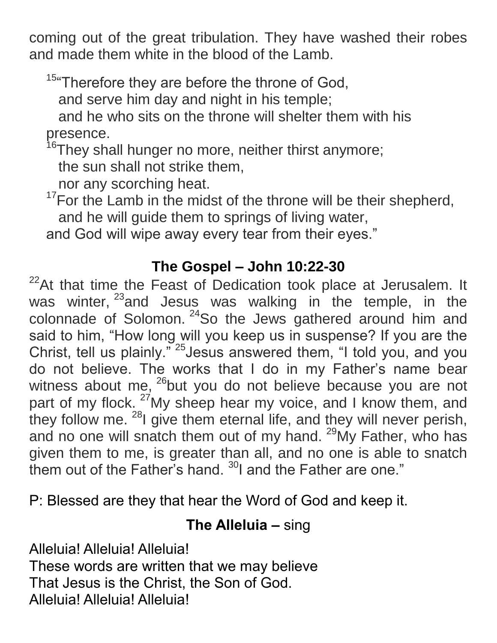coming out of the great tribulation. They have washed their robes and made them white in the blood of the Lamb.

<sup>15</sup> Therefore they are before the throne of God,

and serve him day and night in his temple;

and he who sits on the throne will shelter them with his presence.

<sup>16</sup>They shall hunger no more, neither thirst anymore;

the sun shall not strike them,

nor any scorching heat.

 $17$ For the Lamb in the midst of the throne will be their shepherd, and he will guide them to springs of living water,

and God will wipe away every tear from their eyes."

## **The Gospel – John 10:22-30**

 $22$ At that time the Feast of Dedication took place at Jerusalem. It was winter, <sup>23</sup>and Jesus was walking in the temple, in the colonnade of Solomon. <sup>24</sup>So the Jews gathered around him and said to him, "How long will you keep us in suspense? If you are the Christ, tell us plainly."<sup>25</sup> Jesus answered them, "I told you, and you do not believe. The works that I do in my Father's name bear witness about me,  $^{26}$ but you do not believe because you are not part of my flock. <sup>27</sup>My sheep hear my voice, and I know them, and they follow me. <sup>28</sup>I give them eternal life, and they will never perish, and no one will snatch them out of my hand. <sup>29</sup>My Father, who has given them to me, is greater than all, and no one is able to snatch them out of the Father's hand. <sup>30</sup>I and the Father are one."

P: Blessed are they that hear the Word of God and keep it.

#### **The Alleluia –** sing

Alleluia! Alleluia! Alleluia! These words are written that we may believe That Jesus is the Christ, the Son of God. Alleluia! Alleluia! Alleluia!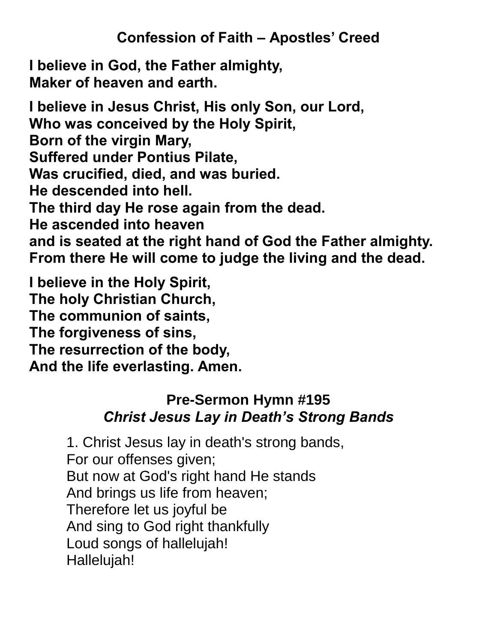# **Confession of Faith – Apostles' Creed**

**I believe in God, the Father almighty, Maker of heaven and earth.**

**I believe in Jesus Christ, His only Son, our Lord, Who was conceived by the Holy Spirit, Born of the virgin Mary, Suffered under Pontius Pilate, Was crucified, died, and was buried. He descended into hell. The third day He rose again from the dead. He ascended into heaven and is seated at the right hand of God the Father almighty. From there He will come to judge the living and the dead.**

**I believe in the Holy Spirit, The holy Christian Church, The communion of saints, The forgiveness of sins, The resurrection of the body, And the life everlasting. Amen.**

# **Pre-Sermon Hymn #195** *Christ Jesus Lay in Death's Strong Bands*

1. Christ Jesus lay in death's strong bands, For our offenses given; But now at God's right hand He stands And brings us life from heaven; Therefore let us joyful be And sing to God right thankfully Loud songs of hallelujah! Hallelujah!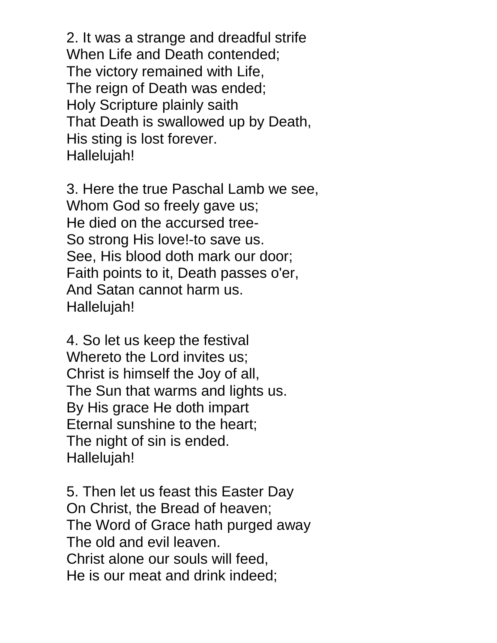2. It was a strange and dreadful strife When Life and Death contended; The victory remained with Life, The reign of Death was ended; Holy Scripture plainly saith That Death is swallowed up by Death, His sting is lost forever. Hallelujah!

3. Here the true Paschal Lamb we see, Whom God so freely gave us; He died on the accursed tree-So strong His love!-to save us. See, His blood doth mark our door; Faith points to it, Death passes o'er, And Satan cannot harm us. Hallelujah!

4. So let us keep the festival Whereto the Lord invites us; Christ is himself the Joy of all, The Sun that warms and lights us. By His grace He doth impart Eternal sunshine to the heart; The night of sin is ended. Hallelujah!

5. Then let us feast this Easter Day On Christ, the Bread of heaven; The Word of Grace hath purged away The old and evil leaven. Christ alone our souls will feed, He is our meat and drink indeed;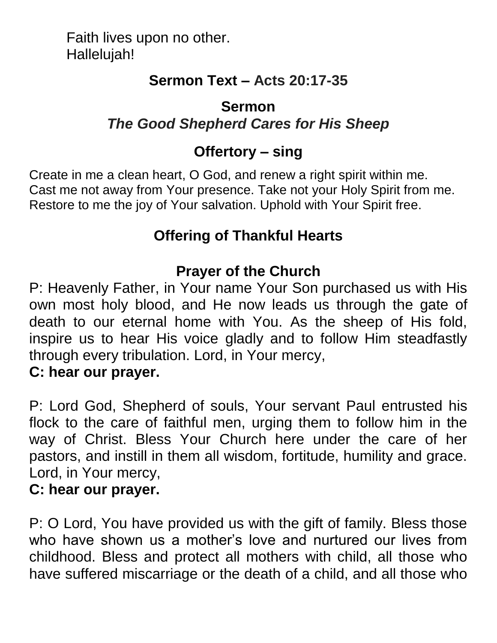Faith lives upon no other. Hallelujah!

# **Sermon Text – Acts 20:17-35**

## **Sermon** *The Good Shepherd Cares for His Sheep*

# **Offertory – sing**

Create in me a clean heart, O God, and renew a right spirit within me. Cast me not away from Your presence. Take not your Holy Spirit from me. Restore to me the joy of Your salvation. Uphold with Your Spirit free.

# **Offering of Thankful Hearts**

# **Prayer of the Church**

P: Heavenly Father, in Your name Your Son purchased us with His own most holy blood, and He now leads us through the gate of death to our eternal home with You. As the sheep of His fold, inspire us to hear His voice gladly and to follow Him steadfastly through every tribulation. Lord, in Your mercy,

#### **C: hear our prayer.**

P: Lord God, Shepherd of souls, Your servant Paul entrusted his flock to the care of faithful men, urging them to follow him in the way of Christ. Bless Your Church here under the care of her pastors, and instill in them all wisdom, fortitude, humility and grace. Lord, in Your mercy,

#### **C: hear our prayer.**

P: O Lord, You have provided us with the gift of family. Bless those who have shown us a mother's love and nurtured our lives from childhood. Bless and protect all mothers with child, all those who have suffered miscarriage or the death of a child, and all those who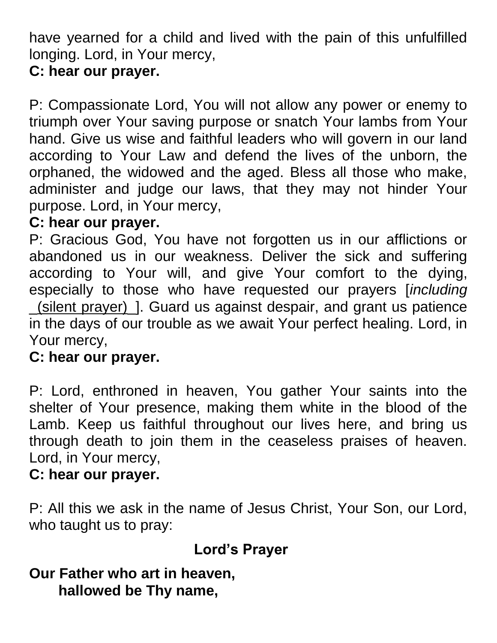have yearned for a child and lived with the pain of this unfulfilled longing. Lord, in Your mercy,

# **C: hear our prayer.**

P: Compassionate Lord, You will not allow any power or enemy to triumph over Your saving purpose or snatch Your lambs from Your hand. Give us wise and faithful leaders who will govern in our land according to Your Law and defend the lives of the unborn, the orphaned, the widowed and the aged. Bless all those who make, administer and judge our laws, that they may not hinder Your purpose. Lord, in Your mercy,

#### **C: hear our prayer.**

P: Gracious God, You have not forgotten us in our afflictions or abandoned us in our weakness. Deliver the sick and suffering according to Your will, and give Your comfort to the dying, especially to those who have requested our prayers [*including* \_(silent prayer)\_]. Guard us against despair, and grant us patience in the days of our trouble as we await Your perfect healing. Lord, in Your mercy,

#### **C: hear our prayer.**

P: Lord, enthroned in heaven, You gather Your saints into the shelter of Your presence, making them white in the blood of the Lamb. Keep us faithful throughout our lives here, and bring us through death to join them in the ceaseless praises of heaven. Lord, in Your mercy,

#### **C: hear our prayer.**

P: All this we ask in the name of Jesus Christ, Your Son, our Lord, who taught us to pray:

# **Lord's Prayer**

# **Our Father who art in heaven,**

**hallowed be Thy name,**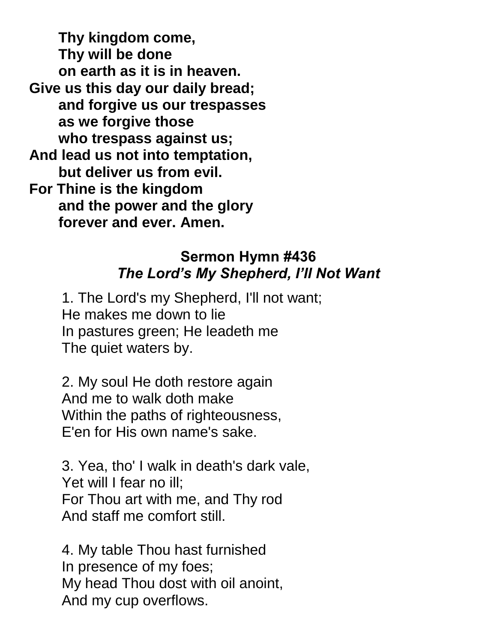**Thy kingdom come, Thy will be done on earth as it is in heaven. Give us this day our daily bread; and forgive us our trespasses as we forgive those who trespass against us; And lead us not into temptation, but deliver us from evil. For Thine is the kingdom and the power and the glory forever and ever. Amen.**

#### **Sermon Hymn #436** *The Lord's My Shepherd, I'll Not Want*

 1. The Lord's my Shepherd, I'll not want; He makes me down to lie In pastures green; He leadeth me The quiet waters by.

 2. My soul He doth restore again And me to walk doth make Within the paths of righteousness, E'en for His own name's sake.

 3. Yea, tho' I walk in death's dark vale, Yet will I fear no ill; For Thou art with me, and Thy rod And staff me comfort still.

 4. My table Thou hast furnished In presence of my foes; My head Thou dost with oil anoint, And my cup overflows.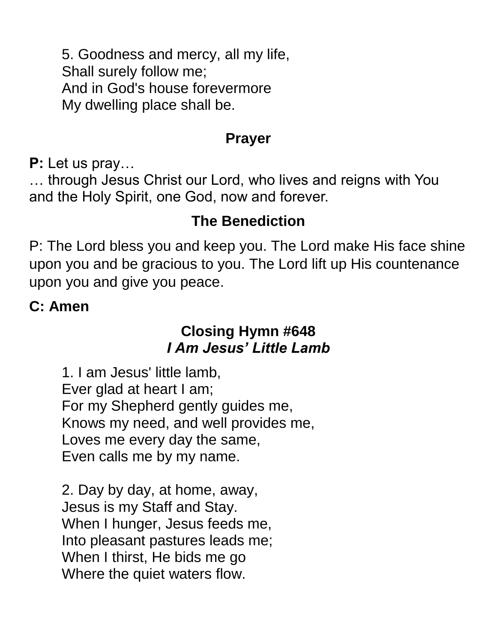5. Goodness and mercy, all my life, Shall surely follow me; And in God's house forevermore My dwelling place shall be.

#### **Prayer**

**P:** Let us pray…

… through Jesus Christ our Lord, who lives and reigns with You and the Holy Spirit, one God, now and forever.

# **The Benediction**

P: The Lord bless you and keep you. The Lord make His face shine upon you and be gracious to you. The Lord lift up His countenance upon you and give you peace.

# **C: Amen**

# **Closing Hymn #648** *I Am Jesus' Little Lamb*

 1. I am Jesus' little lamb, Ever glad at heart I am; For my Shepherd gently guides me, Knows my need, and well provides me, Loves me every day the same, Even calls me by my name.

 2. Day by day, at home, away, Jesus is my Staff and Stay. When I hunger, Jesus feeds me, Into pleasant pastures leads me; When I thirst, He bids me go Where the quiet waters flow.